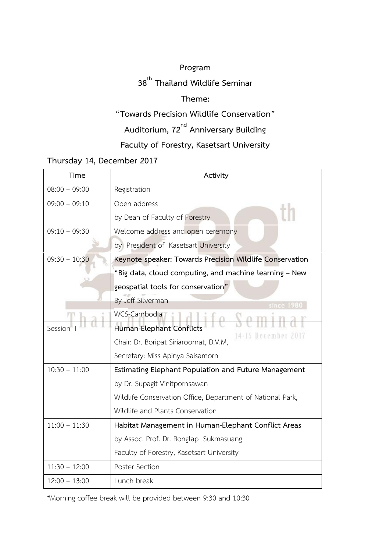#### **Program**

# **38 th Thailand Wildlife Seminar**

### **Theme:**

## **"Towards Precision Wildlife Conservation"**

**Auditorium, 72nd Anniversary Building**

## **Faculty of Forestry, Kasetsart University**

#### **Thursday 14, December 2017**

| Time            | Activity                                                   |
|-----------------|------------------------------------------------------------|
| $08:00 - 09:00$ | Registration                                               |
| $09:00 - 09:10$ | Open address                                               |
|                 | by Dean of Faculty of Forestry                             |
| $09:10 - 09:30$ | Welcome address and open ceremony                          |
|                 | by President of Kasetsart University                       |
| $09:30 - 10:30$ | Keynote speaker: Towards Precision Wildlife Conservation   |
|                 | "Big data, cloud computing, and machine learning - New     |
|                 | geospatial tools for conservation"                         |
|                 | By Jeff Silverman<br>since 1980                            |
|                 | WCS-Cambodia<br>$\frac{0}{\sqrt{2}}$                       |
| Session         | Human-Elephant Conflicts<br>14-15 December 2017            |
|                 | Chair: Dr. Boripat Siriaroonrat, D.V.M,                    |
|                 | Secretary: Miss Apinya Saisamorn                           |
| $10:30 - 11:00$ | Estimating Elephant Population and Future Management       |
|                 | by Dr. Supagit Vinitpornsawan                              |
|                 | Wildlife Conservation Office, Department of National Park, |
|                 | Wildlife and Plants Conservation                           |
| $11:00 - 11:30$ | Habitat Management in Human-Elephant Conflict Areas        |
|                 | by Assoc. Prof. Dr. Ronglap Sukmasuang                     |
|                 | Faculty of Forestry, Kasetsart University                  |
| $11:30 - 12:00$ | Poster Section                                             |
| $12:00 - 13:00$ | Lunch break                                                |

\*Morning coffee break will be provided between 9:30 and 10:30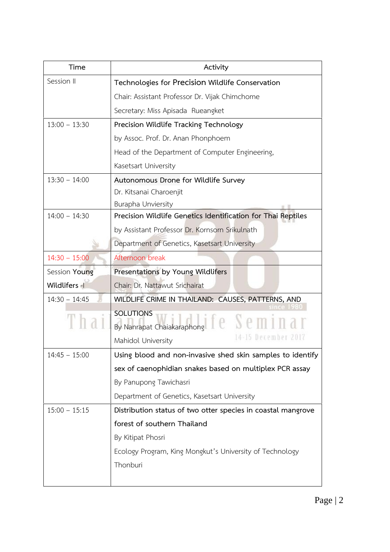| Time            | Activity                                                         |
|-----------------|------------------------------------------------------------------|
| Session II      | Technologies for Precision Wildlife Conservation                 |
|                 | Chair: Assistant Professor Dr. Vijak Chimchome                   |
|                 | Secretary: Miss Apisada Rueangket                                |
| $13:00 - 13:30$ | Precision Wildlife Tracking Technology                           |
|                 | by Assoc. Prof. Dr. Anan Phonphoem                               |
|                 | Head of the Department of Computer Engineering,                  |
|                 | Kasetsart University                                             |
| $13:30 - 14:00$ | Autonomous Drone for Wildlife Survey                             |
|                 | Dr. Kitsanai Charoenjit                                          |
|                 | Burapha Unviersity                                               |
| $14:00 - 14:30$ | Precision Wildlife Genetics Identification for Thai Reptiles     |
|                 | by Assistant Professor Dr. Kornsorn Srikulnath                   |
|                 | Department of Genetics, Kasetsart University                     |
| $14:30 - 15:00$ | Afternoon break                                                  |
| Session Young   | Presentations by Young Wildlifers                                |
| Wildlifers -    | Chair: Dr. Nattawut Srichairat                                   |
| $14:30 - 14:45$ | WILDLIFE CRIME IN THAILAND: CAUSES, PATTERNS, AND                |
|                 | <b>SOLUTIONS</b><br>By Nanrapat Chaiakaraphong <b>PC Seminal</b> |
|                 | Mahidol University                                               |
| $14:45 - 15:00$ | Using blood and non-invasive shed skin samples to identify       |
|                 | sex of caenophidian snakes based on multiplex PCR assay          |
|                 | By Panupong Tawichasri                                           |
|                 | Department of Genetics, Kasetsart University                     |
| $15:00 - 15:15$ | Distribution status of two otter species in coastal mangrove     |
|                 | forest of southern Thailand                                      |
|                 | By Kitipat Phosri                                                |
|                 | Ecology Program, King Mongkut's University of Technology         |
|                 | Thonburi                                                         |
|                 |                                                                  |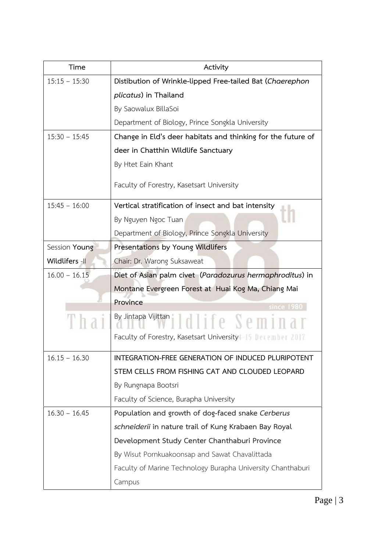| Time            | Activity                                                     |
|-----------------|--------------------------------------------------------------|
| $15:15 - 15:30$ | Distibution of Wrinkle-lipped Free-tailed Bat (Chaerephon    |
|                 | plicatus) in Thailand                                        |
|                 | By Saowalux BillaSoi                                         |
|                 | Department of Biology, Prince Songkla University             |
| $15:30 - 15:45$ | Change in Eld's deer habitats and thinking for the future of |
|                 | deer in Chatthin Wildlife Sanctuary                          |
|                 | By Htet Eain Khant                                           |
|                 | Faculty of Forestry, Kasetsart University                    |
| $15:45 - 16:00$ | Vertical stratification of insect and bat intensity          |
|                 | By Nguyen Ngoc Tuan                                          |
|                 | Department of Biology, Prince Songkla University             |
| Session Young   | Presentations by Young Wildlifers                            |
| Wildlifers -II  | Chair: Dr. Warong Suksaweat                                  |
| $16.00 - 16.15$ | Diet of Asian palm civet (Paradozurus hermaphroditus) in     |
|                 | Montane Evergreen Forest at Huai Kog Ma, Chiang Mai          |
|                 | Province<br>since 1980                                       |
|                 |                                                              |
|                 | Faculty of Forestry, Kasetsart University4-15 December 2017  |
| $16.15 - 16.30$ | INTEGRATION-FREE GENERATION OF INDUCED PLURIPOTENT           |
|                 | STEM CELLS FROM FISHING CAT AND CLOUDED LEOPARD              |
|                 | By Rungnapa Bootsri                                          |
|                 | Faculty of Science, Burapha University                       |
| $16.30 - 16.45$ | Population and growth of dog-faced snake Cerberus            |
|                 | schneiderii in nature trail of Kung Krabaen Bay Royal        |
|                 | Development Study Center Chanthaburi Province                |
|                 | By Wisut Pornkuakoonsap and Sawat Chavalittada               |
|                 | Faculty of Marine Technology Burapha University Chanthaburi  |
|                 | Campus                                                       |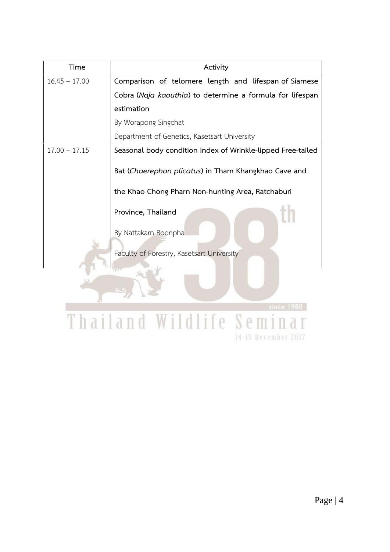| Time            | Activity                                                    |
|-----------------|-------------------------------------------------------------|
| $16.45 - 17.00$ | Comparison of telomere length and lifespan of Siamese       |
|                 | Cobra (Naja kaouthia) to determine a formula for lifespan   |
|                 | estimation                                                  |
|                 | By Worapong Singchat                                        |
|                 | Department of Genetics, Kasetsart University                |
| $17.00 - 17.15$ | Seasonal body condition index of Wrinkle-lipped Free-tailed |
|                 | Bat (Chaerephon plicatus) in Tham Khangkhao Cave and        |
|                 | the Khao Chong Pharn Non-hunting Area, Ratchaburi           |
|                 | Province, Thailand                                          |
|                 | By Nattakarn Boonpha                                        |
|                 | Faculty of Forestry, Kasetsart University                   |

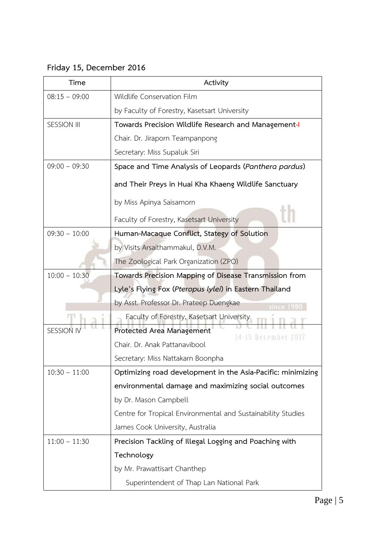## **Friday 15, December 2016**

| Time               | Activity                                                     |
|--------------------|--------------------------------------------------------------|
| $08:15 - 09:00$    | Wildlife Conservation Film                                   |
|                    | by Faculty of Forestry, Kasetsart University                 |
| <b>SESSION III</b> | Towards Precision Wildlife Research and Management-I         |
|                    | Chair. Dr. Jiraporn Teampanpong                              |
|                    | Secretary: Miss Supaluk Siri                                 |
| $09:00 - 09:30$    | Space and Time Analysis of Leopards (Panthera pardus)        |
|                    | and Their Preys in Huai Kha Khaeng Wildlife Sanctuary        |
|                    | by Miss Apinya Saisamorn                                     |
|                    | Faculty of Forestry, Kasetsart University                    |
| $09:30 - 10:00$    | Human-Macaque Conflict, Stategy of Solution                  |
|                    | by Visits Arsaithammakul, D.V.M.                             |
|                    | The Zoological Park Organization (ZPO)                       |
| $10:00 - 10:30$    | Towards Precision Mapping of Disease Transmission from       |
|                    | Lyle's Flying Fox (Pteropus lylei) in Eastern Thailand       |
|                    | by Asst. Professor Dr. Prateep Duengkae<br>since 1980        |
|                    | Faculty of Forestry, Kasetsart University                    |
| <b>SESSION I</b>   | Protected Area Management<br>14–15 December 2017             |
|                    | Chair. Dr. Anak Pattanavibool                                |
|                    | Secretary: Miss Nattakarn Boonpha                            |
| $10:30 - 11:00$    | Optimizing road development in the Asia-Pacific: minimizing  |
|                    | environmental damage and maximizing social outcomes          |
|                    | by Dr. Mason Campbell                                        |
|                    | Centre for Tropical Environmental and Sustainability Studies |
|                    | James Cook University, Australia                             |
| $11:00 - 11:30$    | Precision Tackling of Illegal Logging and Poaching with      |
|                    | Technology                                                   |
|                    | by Mr. Prawattisart Chanthep                                 |
|                    | Superintendent of Thap Lan National Park                     |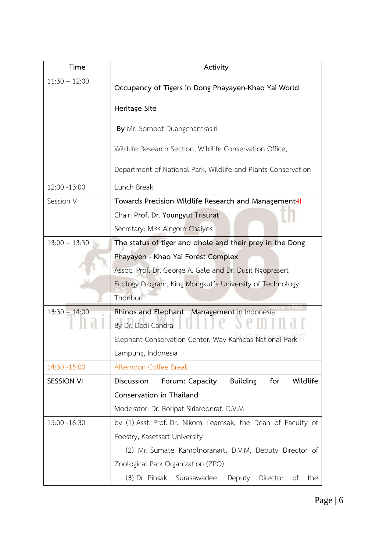| Time              | Activity                                                             |
|-------------------|----------------------------------------------------------------------|
| $11:30 - 12:00$   | Occupancy of Tigers in Dong Phayayen-Khao Yai World                  |
|                   | Heritage Site                                                        |
|                   | By Mr. Sompot Duangchantrasiri                                       |
|                   | Wildlife Research Section, Wildlife Conservation Office,             |
|                   | Department of National Park, Wildlife and Plants Conservation        |
| 12:00 -13:00      | Lunch Break                                                          |
| Session V         | Towards Precision Wildlife Research and Management-II                |
|                   | Chair: Prof. Dr. Youngyut Trisurat                                   |
|                   | Secretary: Miss Aingorn Chaiyes                                      |
| $13:00 - 13:30$   | The status of tiger and dhole and their prey in the Dong             |
|                   | Phayayen - Khao Yai Forest Complex                                   |
|                   | Assoc. Prof. Dr. George A. Gale and Dr. Dusit Ngoprasert             |
|                   | Ecology Program, King Mongkut's University of Technology<br>Thonburi |
| $13:30 - 14:00$   | Rhinos and Elephant Management in Indonesia<br>By Dr. Dedi Candra    |
|                   | Elephant Conservation Center, Way Kambas National Park               |
|                   | Lampung, Indonesia                                                   |
| 14:30 -15:00      | Afternoon Coffee Break                                               |
| <b>SESSION VI</b> | Discussion<br><b>Building</b><br>Wildlife<br>for<br>Forum: Capacity  |
|                   | Conservation in Thailand                                             |
|                   | Moderator: Dr. Boripat Siriaroonrat, D.V.M                           |
| 15:00 -16:30      | by (1) Asst. Prof. Dr. Nikom Leamsak, the Dean of Faculty of         |
|                   | Foestry, Kasetsart University                                        |
|                   | (2) Mr. Sumate Kamolnoranart, D.V.M, Deputy Director of              |
|                   | Zoological Park Organization (ZPO)                                   |
|                   | (3) Dr. Pinsak<br>Surasawadee,<br>Deputy<br>Director<br>of<br>the    |